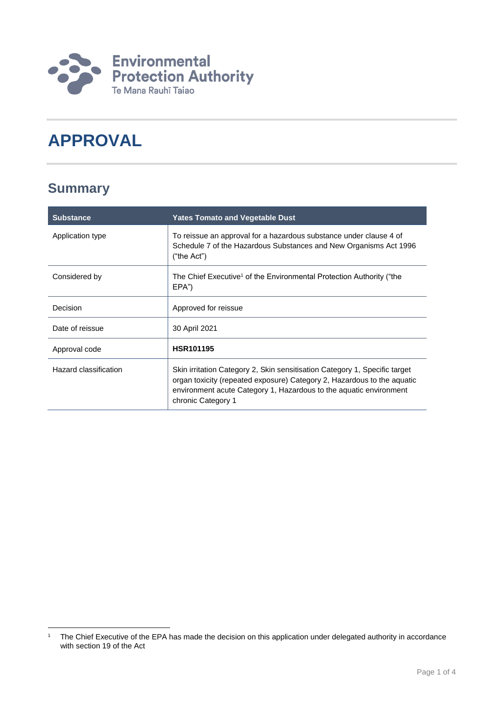

# **APPROVAL**

### **Summary**

| <b>Substance</b>      | <b>Yates Tomato and Vegetable Dust</b>                                                                                                                                                                                                            |
|-----------------------|---------------------------------------------------------------------------------------------------------------------------------------------------------------------------------------------------------------------------------------------------|
| Application type      | To reissue an approval for a hazardous substance under clause 4 of<br>Schedule 7 of the Hazardous Substances and New Organisms Act 1996<br>("the Act")                                                                                            |
| Considered by         | The Chief Executive <sup>1</sup> of the Environmental Protection Authority ("the<br>EPA")                                                                                                                                                         |
| Decision              | Approved for reissue                                                                                                                                                                                                                              |
| Date of reissue       | 30 April 2021                                                                                                                                                                                                                                     |
| Approval code         | <b>HSR101195</b>                                                                                                                                                                                                                                  |
| Hazard classification | Skin irritation Category 2, Skin sensitisation Category 1, Specific target<br>organ toxicity (repeated exposure) Category 2, Hazardous to the aquatic<br>environment acute Category 1, Hazardous to the aquatic environment<br>chronic Category 1 |

<sup>1</sup> <sup>1</sup> The Chief Executive of the EPA has made the decision on this application under delegated authority in accordance with section 19 of the Act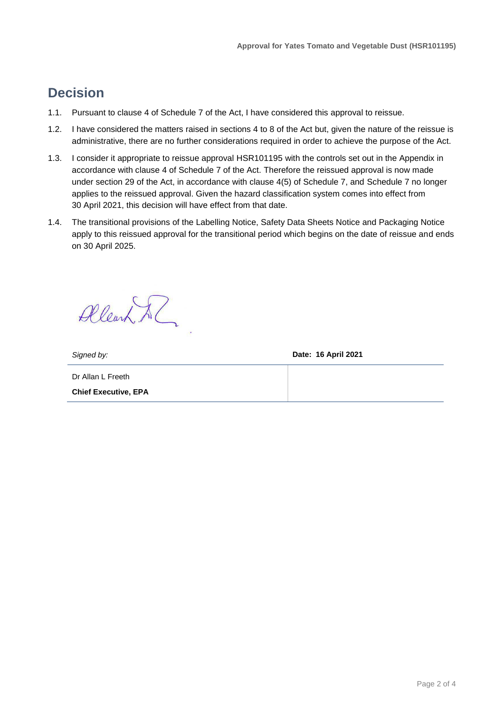### **Decision**

- 1.1. Pursuant to clause 4 of Schedule 7 of the Act, I have considered this approval to reissue.
- 1.2. I have considered the matters raised in sections 4 to 8 of the Act but, given the nature of the reissue is administrative, there are no further considerations required in order to achieve the purpose of the Act.
- 1.3. I consider it appropriate to reissue approval HSR101195 with the controls set out in the Appendix in accordance with clause 4 of Schedule 7 of the Act. Therefore the reissued approval is now made under section 29 of the Act, in accordance with clause 4(5) of Schedule 7, and Schedule 7 no longer applies to the reissued approval. Given the hazard classification system comes into effect from 30 April 2021, this decision will have effect from that date.
- 1.4. The transitional provisions of the Labelling Notice, Safety Data Sheets Notice and Packaging Notice apply to this reissued approval for the transitional period which begins on the date of reissue and ends on 30 April 2025.

Allearn & ?

*Signed by:* **Date: 16 April 2021**

Dr Allan L Freeth **Chief Executive, EPA**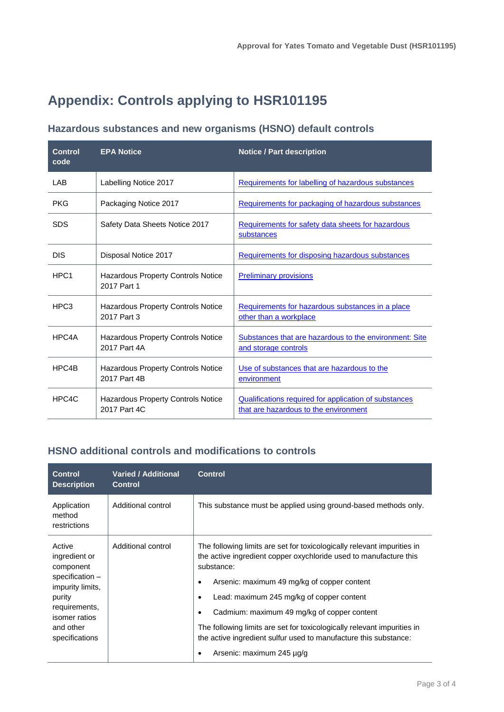## **Appendix: Controls applying to HSR101195**

### **Hazardous substances and new organisms (HSNO) default controls**

| <b>Control</b><br>code | <b>EPA Notice</b>                                        | <b>Notice / Part description</b>                                                               |
|------------------------|----------------------------------------------------------|------------------------------------------------------------------------------------------------|
| LAB                    | Labelling Notice 2017                                    | Requirements for labelling of hazardous substances                                             |
| <b>PKG</b>             | Packaging Notice 2017                                    | Requirements for packaging of hazardous substances                                             |
| <b>SDS</b>             | Safety Data Sheets Notice 2017                           | Requirements for safety data sheets for hazardous<br>substances                                |
| <b>DIS</b>             | Disposal Notice 2017                                     | Requirements for disposing hazardous substances                                                |
| HPC <sub>1</sub>       | Hazardous Property Controls Notice<br>2017 Part 1        | <b>Preliminary provisions</b>                                                                  |
| HPC <sub>3</sub>       | <b>Hazardous Property Controls Notice</b><br>2017 Part 3 | Requirements for hazardous substances in a place<br>other than a workplace                     |
| HPC4A                  | Hazardous Property Controls Notice<br>2017 Part 4A       | Substances that are hazardous to the environment: Site<br>and storage controls                 |
| HPC4B                  | Hazardous Property Controls Notice<br>2017 Part 4B       | Use of substances that are hazardous to the<br>environment                                     |
| HPC4C                  | Hazardous Property Controls Notice<br>2017 Part 4C       | Qualifications required for application of substances<br>that are hazardous to the environment |

### **HSNO additional controls and modifications to controls**

| <b>Control</b><br><b>Description</b>                                                                                                                   | <b>Varied / Additional</b><br><b>Control</b> | <b>Control</b>                                                                                                                                                                                                                                                                                                                                                                                                                                                                                   |
|--------------------------------------------------------------------------------------------------------------------------------------------------------|----------------------------------------------|--------------------------------------------------------------------------------------------------------------------------------------------------------------------------------------------------------------------------------------------------------------------------------------------------------------------------------------------------------------------------------------------------------------------------------------------------------------------------------------------------|
| Application<br>method<br>restrictions                                                                                                                  | Additional control                           | This substance must be applied using ground-based methods only.                                                                                                                                                                                                                                                                                                                                                                                                                                  |
| Active<br>ingredient or<br>component<br>specification -<br>impurity limits,<br>purity<br>requirements,<br>isomer ratios<br>and other<br>specifications | Additional control                           | The following limits are set for toxicologically relevant impurities in<br>the active ingredient copper oxychloride used to manufacture this<br>substance:<br>Arsenic: maximum 49 mg/kg of copper content<br>٠<br>Lead: maximum 245 mg/kg of copper content<br>٠<br>Cadmium: maximum 49 mg/kg of copper content<br>٠<br>The following limits are set for toxicologically relevant impurities in<br>the active ingredient sulfur used to manufacture this substance:<br>Arsenic: maximum 245 µg/g |